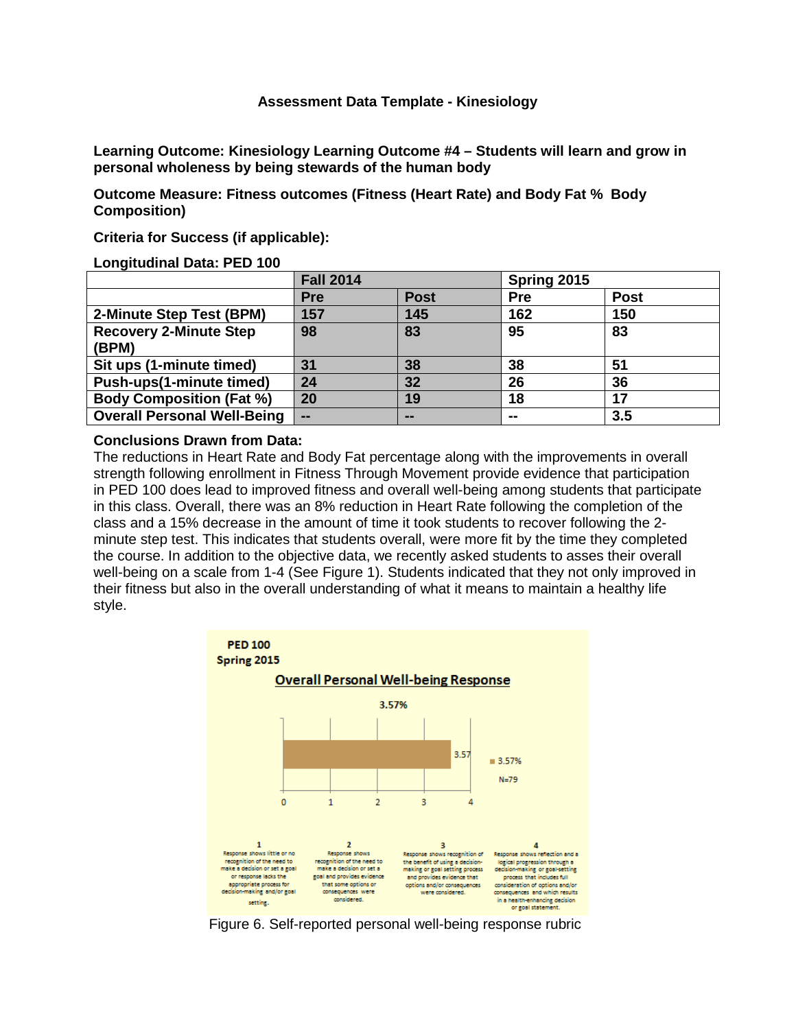# **Assessment Data Template - Kinesiology**

**Learning Outcome: Kinesiology Learning Outcome #4 – Students will learn and grow in personal wholeness by being stewards of the human body**

**Outcome Measure: Fitness outcomes (Fitness (Heart Rate) and Body Fat % Body Composition)**

**Criteria for Success (if applicable):**

#### **Longitudinal Data: PED 100**

| . <u>.</u>                             | <b>Fall 2014</b> |             | Spring 2015 |             |
|----------------------------------------|------------------|-------------|-------------|-------------|
|                                        | <b>Pre</b>       | <b>Post</b> | <b>Pre</b>  | <b>Post</b> |
| 2-Minute Step Test (BPM)               | 157              | 145         | 162         | 150         |
| <b>Recovery 2-Minute Step</b><br>(BPM) | 98               | 83          | 95          | 83          |
| Sit ups (1-minute timed)               | 31               | 38          | 38          | 51          |
| Push-ups(1-minute timed)               | 24               | 32          | 26          | 36          |
| <b>Body Composition (Fat %)</b>        | 20               | 19          | 18          | 17          |
| <b>Overall Personal Well-Being</b>     | $-$              | --          | --          | 3.5         |

#### **Conclusions Drawn from Data:**

The reductions in Heart Rate and Body Fat percentage along with the improvements in overall strength following enrollment in Fitness Through Movement provide evidence that participation in PED 100 does lead to improved fitness and overall well-being among students that participate in this class. Overall, there was an 8% reduction in Heart Rate following the completion of the class and a 15% decrease in the amount of time it took students to recover following the 2 minute step test. This indicates that students overall, were more fit by the time they completed the course. In addition to the objective data, we recently asked students to asses their overall well-being on a scale from 1-4 (See Figure 1). Students indicated that they not only improved in their fitness but also in the overall understanding of what it means to maintain a healthy life style.



Figure 6. Self-reported personal well-being response rubric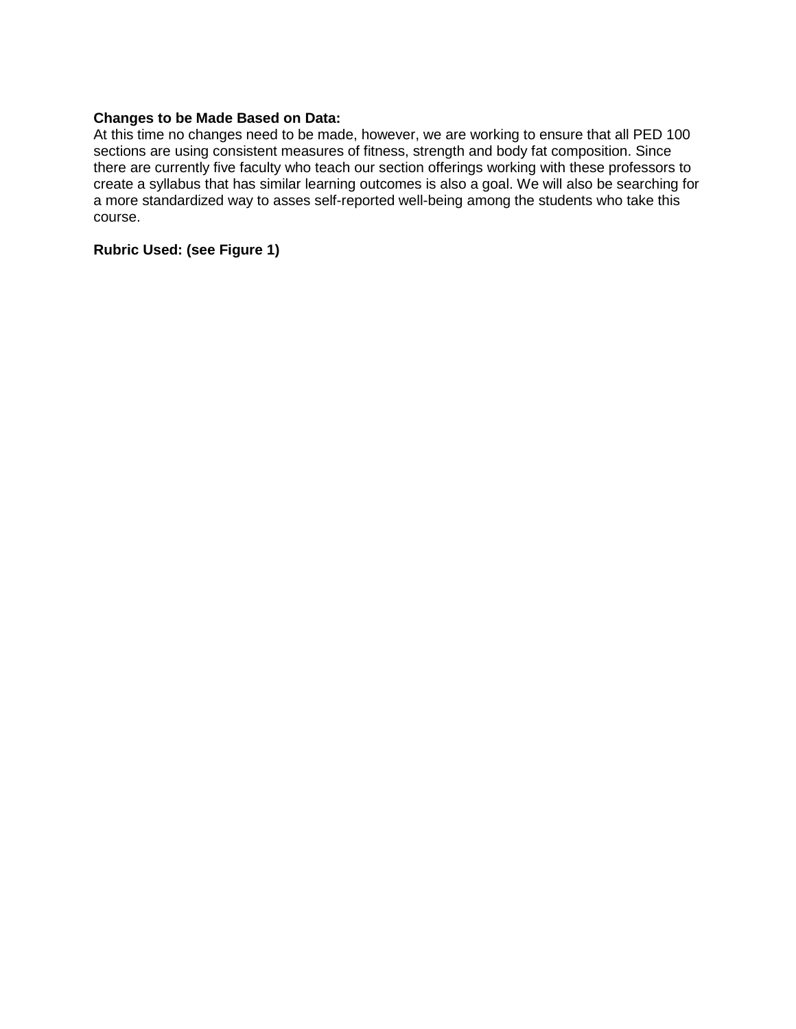# **Changes to be Made Based on Data:**

At this time no changes need to be made, however, we are working to ensure that all PED 100 sections are using consistent measures of fitness, strength and body fat composition. Since there are currently five faculty who teach our section offerings working with these professors to create a syllabus that has similar learning outcomes is also a goal. We will also be searching for a more standardized way to asses self-reported well-being among the students who take this course.

# **Rubric Used: (see Figure 1)**